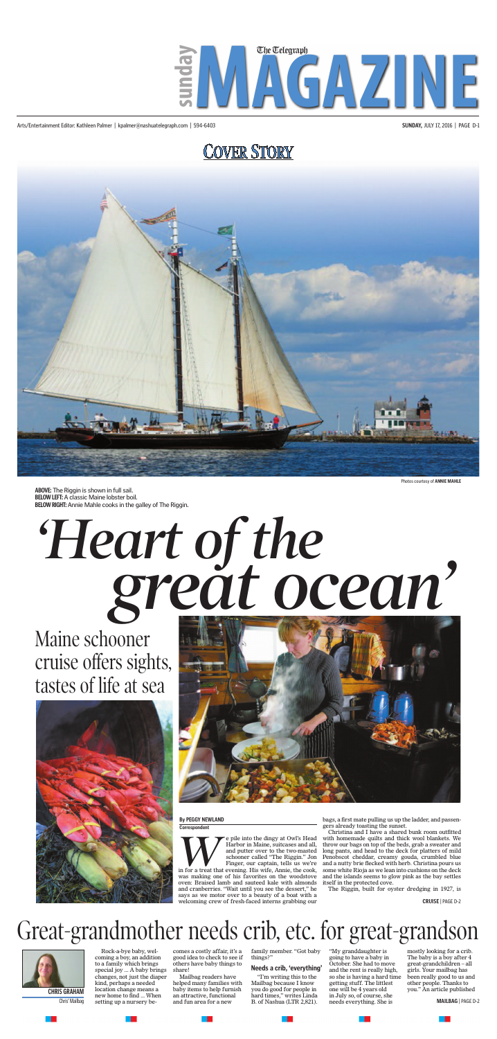# **COVER STORY**



Arts/Entertainment Editor: Kathleen Palmer | kpalmer@nashuatelegraph.com | 594-6403 **SUNDAY,** JULY 17, 2016 | PAGE D-1



Photos courtesy of **ANNIE MAHLE**

**ABOVE:** The Riggin is shown in full sail. **BELOW LEFT:** A classic Maine lobster boil.<br>**BELOW RIGHT:** Annie Mahle cooks in the c **BELOW RIGHT:** Annie Mahle cooks in the galley of The Riggin.

# *Sreat oc*

**WE are the dingy at Owl's Head Harbor in Maine, suitcases and all, and putter over to the two-masted schooner called "The Riggin." Jon Finger, our captain, tells us we're in for a treat that evening. His wife, Annie, the** in for a treat that evening. His wife, Annie, the cook, was making one of his favorites on the woodstove oven: Braised lamb and sauteed kale with almonds and cranberries. "Wait until you see the dessert," he says as we motor over to a beauty of a boat with a welcoming crew of fresh-faced interns grabbing our

Harbor in Maine, suitcases and all, and putter over to the two-masted schooner called "The Riggin." Jon Finger, our captain, tells us we're

Rock-a-bye baby, welcoming a boy, an addition to a family which brings special joy ... A baby brings changes, not just the diaper kind, perhaps a needed location change means a new home to find ... When setting up a nursery be-Chris' Mailbag setting up a nursery be- and fun area for a new B. of Nashua (LTR 2,821). needs everything. She is **MAILBAG** | PAGE D-2

bags, a first mate pulling us up the ladder, and passengers already toasting the sunset.

Christina and I have a shared bunk room outfitted with homemade quilts and thick wool blankets. We throw our bags on top of the beds, grab a sweater and long pants, and head to the deck for platters of mild Penobscot cheddar, creamy gouda, crumbled blue and a nutty brie flecked with herb. Christina pours us some white Rioja as we lean into cushions on the deck and the islands seems to glow pink as the bay settles itself in the protected cove.

The Riggin, built for oyster dredging in 1927, is

### **By PEGGY NEWLAND**

**Correspondent**



# Maine schooner cruise offers sights, tastes of life at sea



# Great-grandmother needs crib, etc. for great-grandson



comes a costly affair, it's a good idea to check to see if others have baby things to share!

Mailbag readers have helped many families with **CHRIS GRAHAM** location change means a baby items to help furnish you do good for people in one will be 4 years old you." An article published new home to find When an attractive functional hard times " writes I inde in Ju an attractive, functional and fun area for a new

a ka

family member. "Got baby things?"

### **Needs a crib, 'everything'**

"I'm writing this to the Mailbag because I know you do good for people in hard times," writes Linda

a pro

"My granddaughter is going to have a baby in October. She had to move and the rent is really high, so she is having a hard time getting stuff. The littlest one will be 4 years old in July so, of course, she needs everything. She is

a ka

mostly looking for a crib. The baby is a boy after 4 great-grandchildren – all girls. Your mailbag has been really good to us and other people. Thanks to

**CRUISE** | PAGE D-2